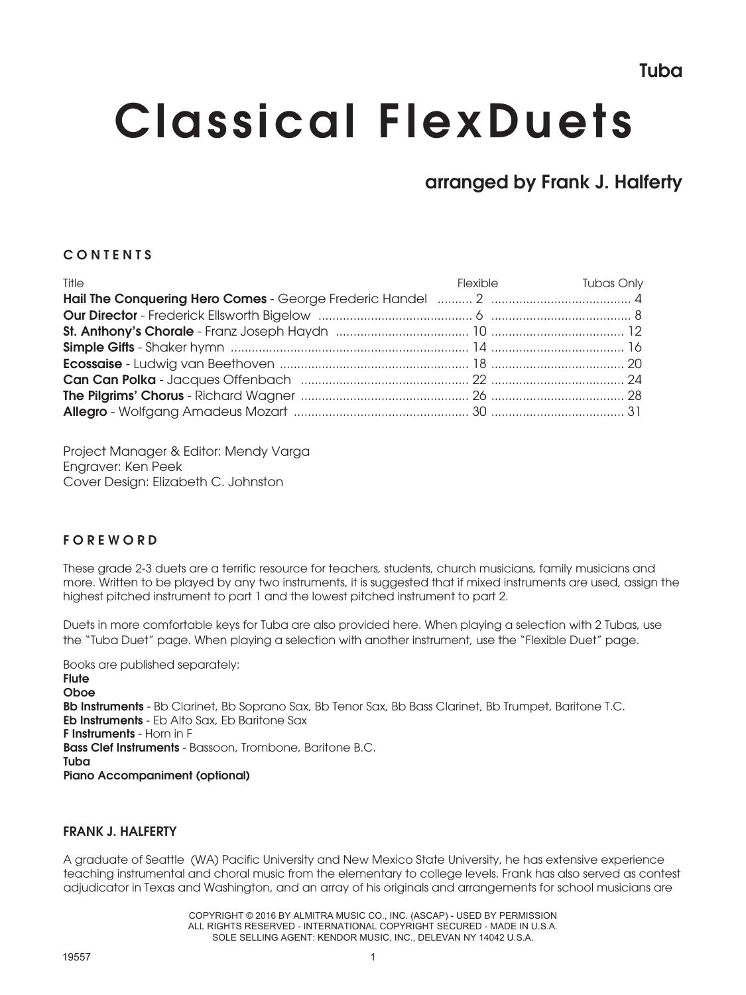# Classical FlexDuets

## arranged by Frank J. Halferty

### **CONTENTS**

| Title | Flexible Tubas Only |
|-------|---------------------|
|       |                     |
|       |                     |
|       |                     |
|       |                     |
|       |                     |
|       |                     |
|       |                     |
|       |                     |

Project Manager & Editor: Mendy Varga Engraver: Ken Peek Cover Design: Elizabeth C. Johnston

### F O R E W O R D

These grade 2-3 duets are a terrific resource for teachers, students, church musicians, family musicians and more. Written to be played by any two instruments, it is suggested that if mixed instruments are used, assign the highest pitched instrument to part 1 and the lowest pitched instrument to part 2.

Duets in more comfortable keys for Tuba are also provided here. When playing a selection with 2 Tubas, use the "Tuba Duet" page. When playing a selection with another instrument, use the "Flexible Duet" page.

Books are published separately: **Flute** Oboe Bb Instruments - Bb Clarinet, Bb Soprano Sax, Bb Tenor Sax, Bb Bass Clarinet, Bb Trumpet, Baritone T.C. Eb Instruments - Eb Alto Sax, Eb Baritone Sax F Instruments - Horn in F Bass Clef Instruments - Bassoon, Trombone, Baritone B.C. Tuba Piano Accompaniment (optional)

### FRANK J. HALFERTY

A graduate of Seattle (WA) Pacific University and New Mexico State University, he has extensive experience teaching instrumental and choral music from the elementary to college levels. Frank has also served as contest adjudicator in Texas and Washington, and an array of his originals and arrangements for school musicians are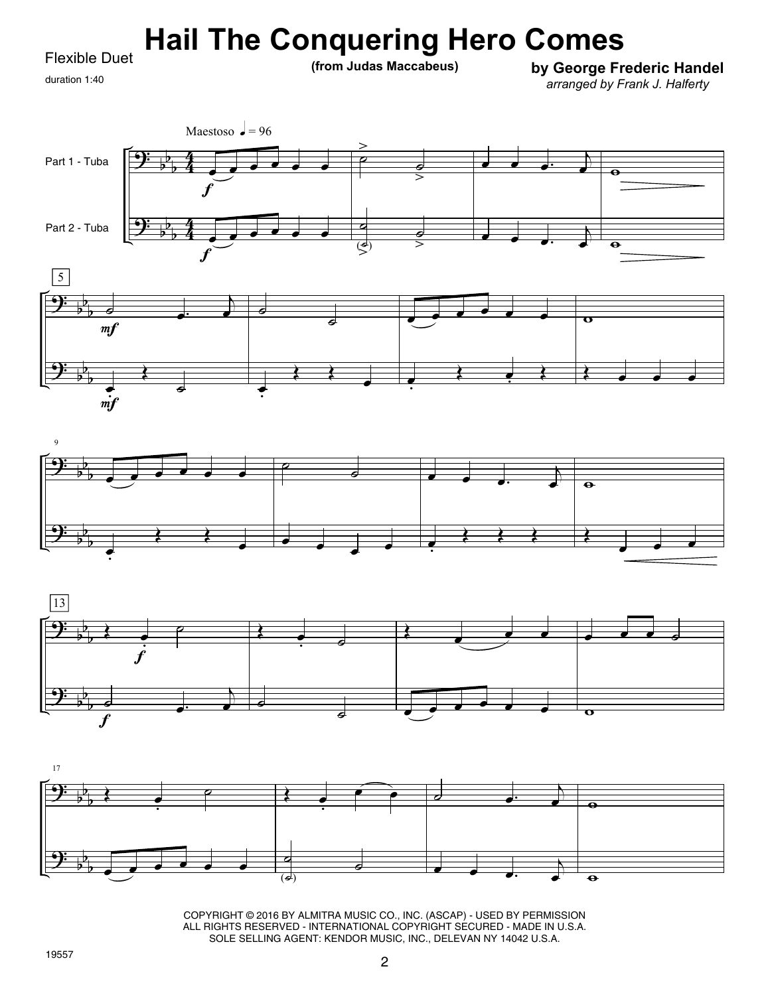## **Hail The Conquering Hero Comes**

Flexible Duet

**(from Judas Maccabeus)**

**by George Frederic Handel** *arranged by Frank J. Halferty* duration 1:40









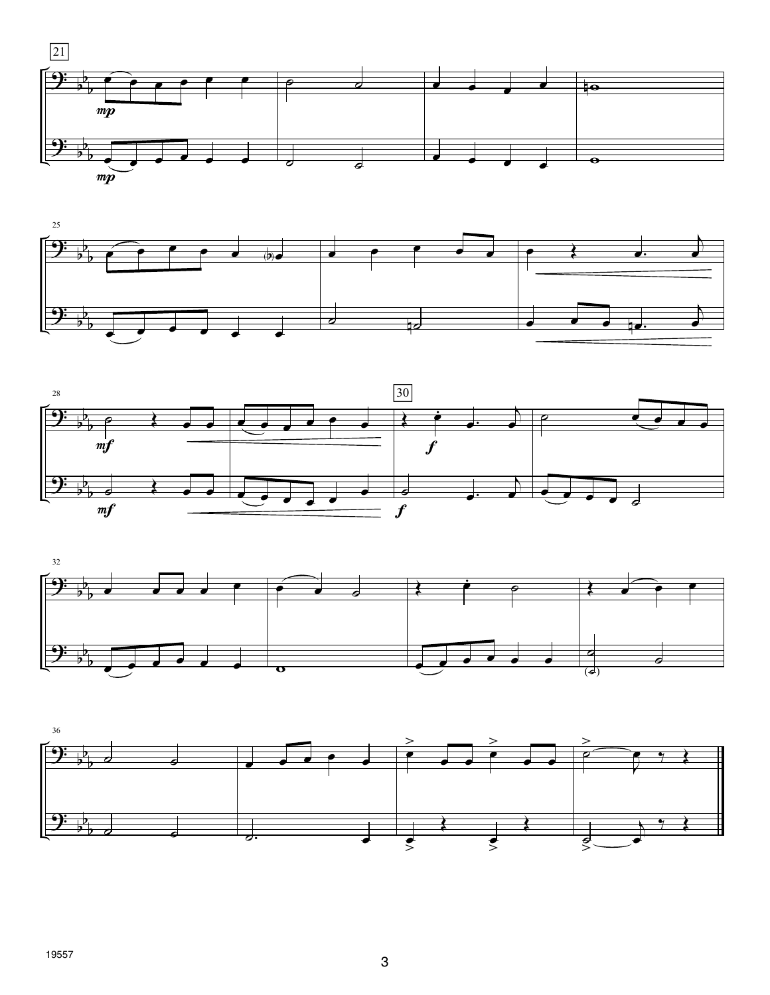









 $\frac{19557}{3}$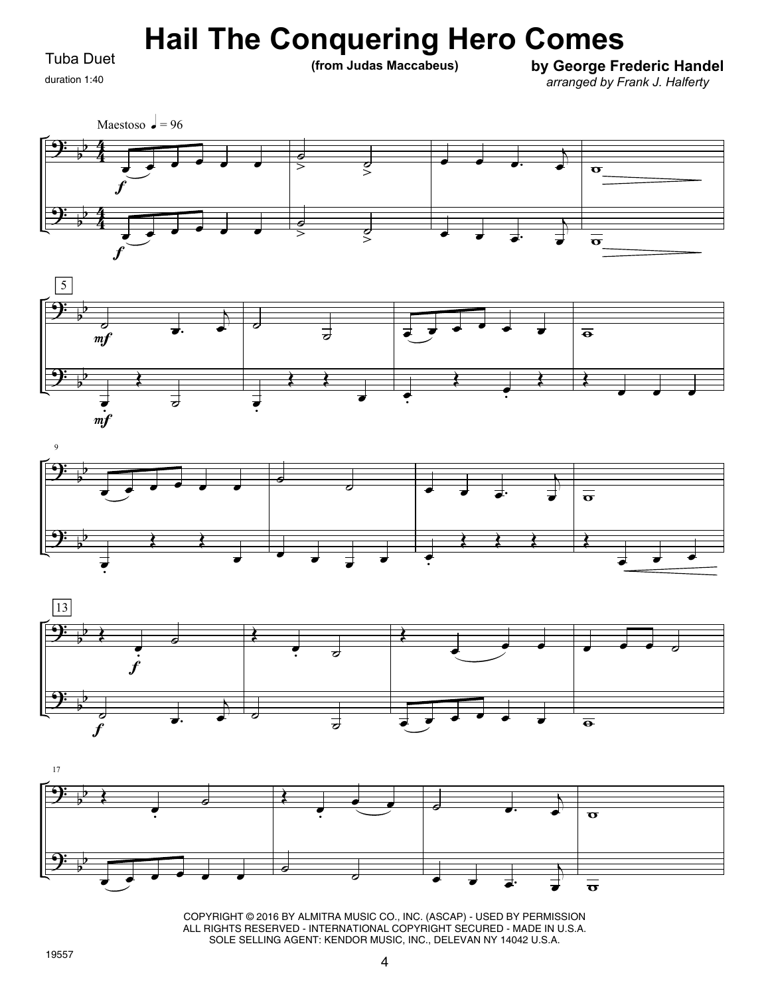**Hail The Conquering Hero Comes**<br>
(from Judas Maccabeus) by George Fr

Tuba Duet

**by George Frederic Handel** *arranged by Frank J. Halferty* duration 1:40









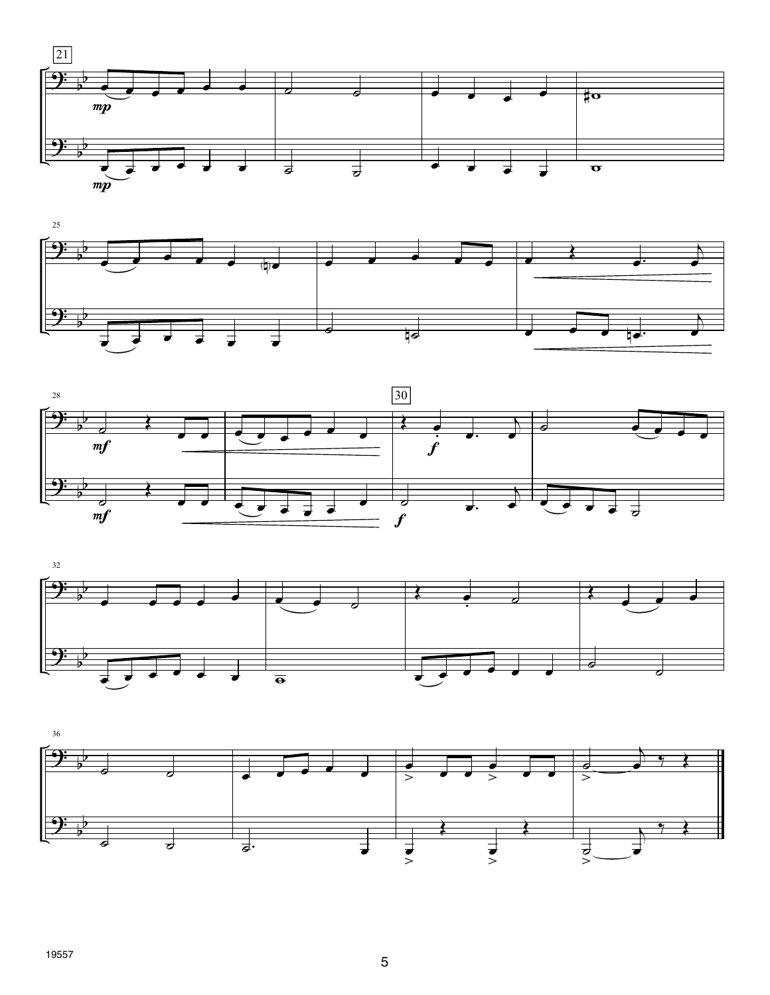







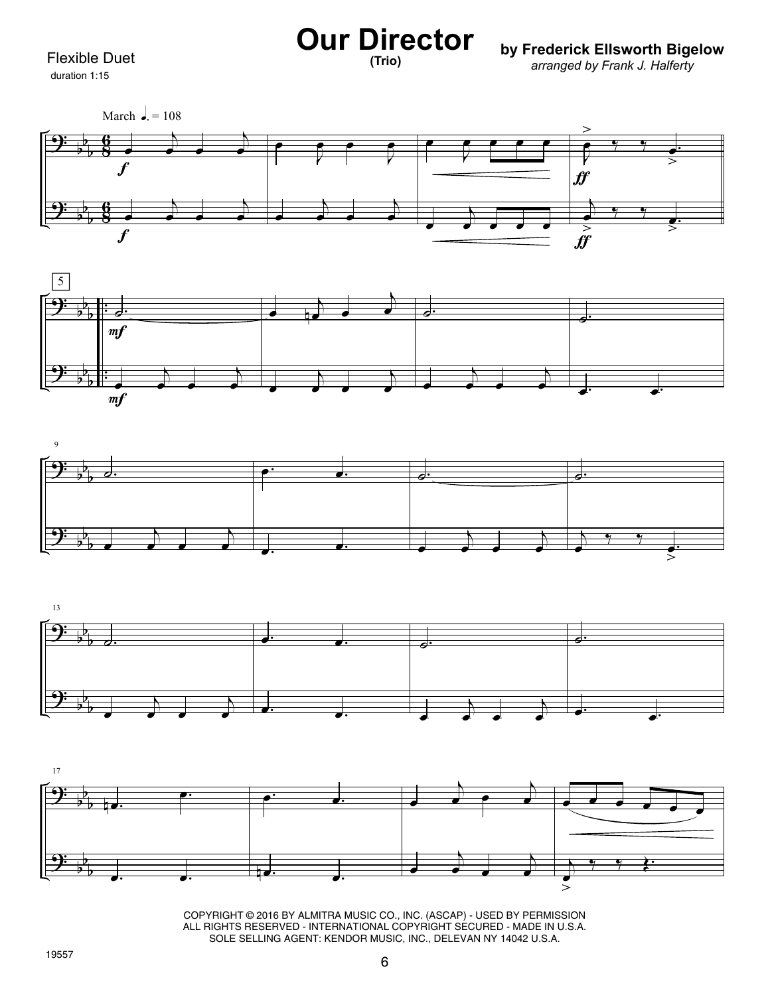Flexible Duet

duration 1:15

**by Frederick Ellsworth Bigelow** *arranged by Frank J. Halferty*



**Our Director (Trio)**







<u>.</u> <u>.</u> b b b b b b 17  $\overline{\phantom{aa}}$ œ.  $\overrightarrow{e}$ . **e: ∴e**.  $\overrightarrow{e}$  .  $\overrightarrow{e}$  . œ  $\sharp$ œ œ  $\mathcal{L}$ œ œ  $\frac{1}{2}$  $\frac{1}{\sqrt{2}}$  $\overline{A}$ œ  $\overline{\phantom{a}}$  $\overline{A}$ œ  $\frac{1}{1}$  $\frac{1}{2}$   $\frac{1}{2}$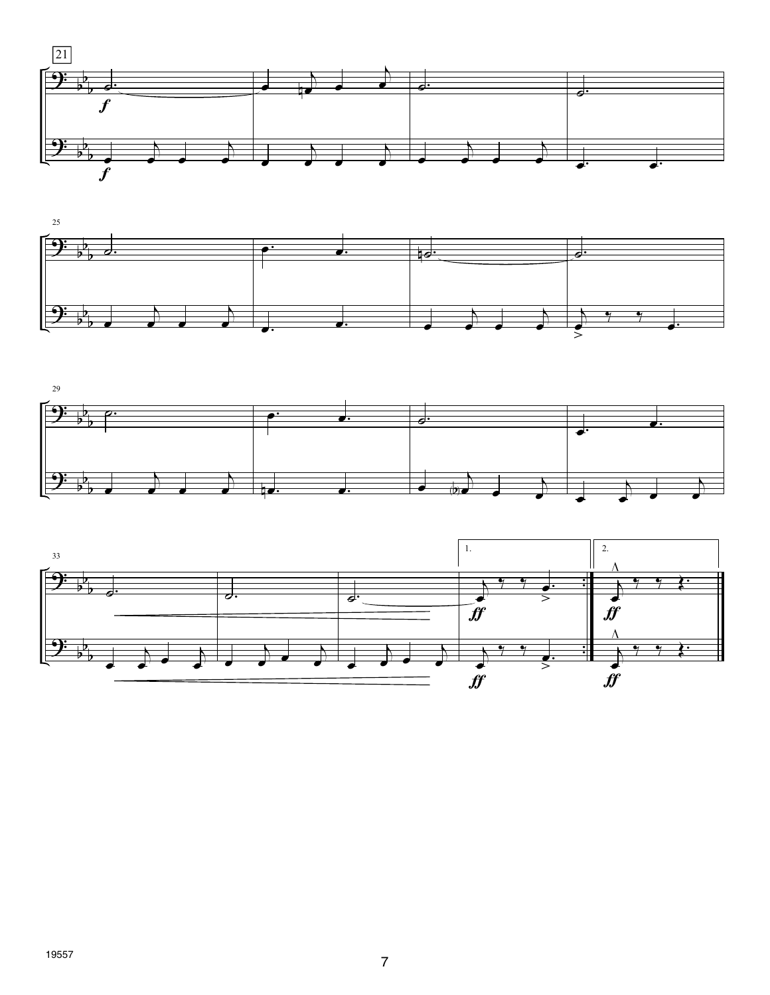





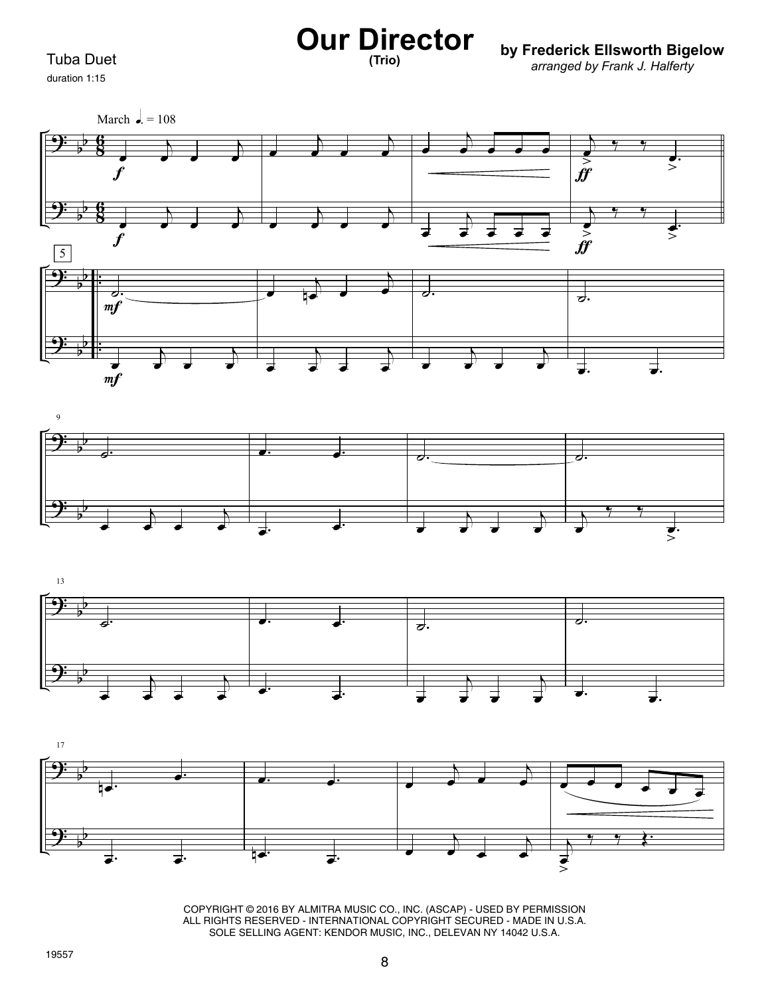duration 1:15

### **(Trio)** *arranged by Frank J. Halferty* Tuba Duet **by Frederick Ellsworth Bigelow**<br>arranged by Frank J. Halferty



**Our Director**





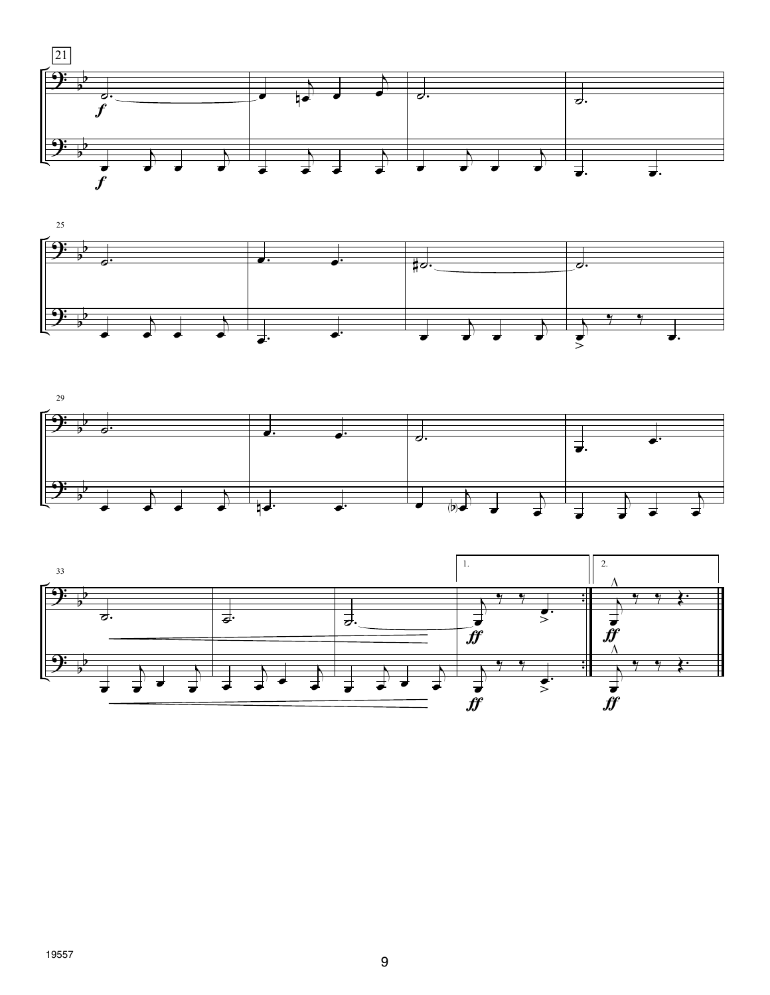





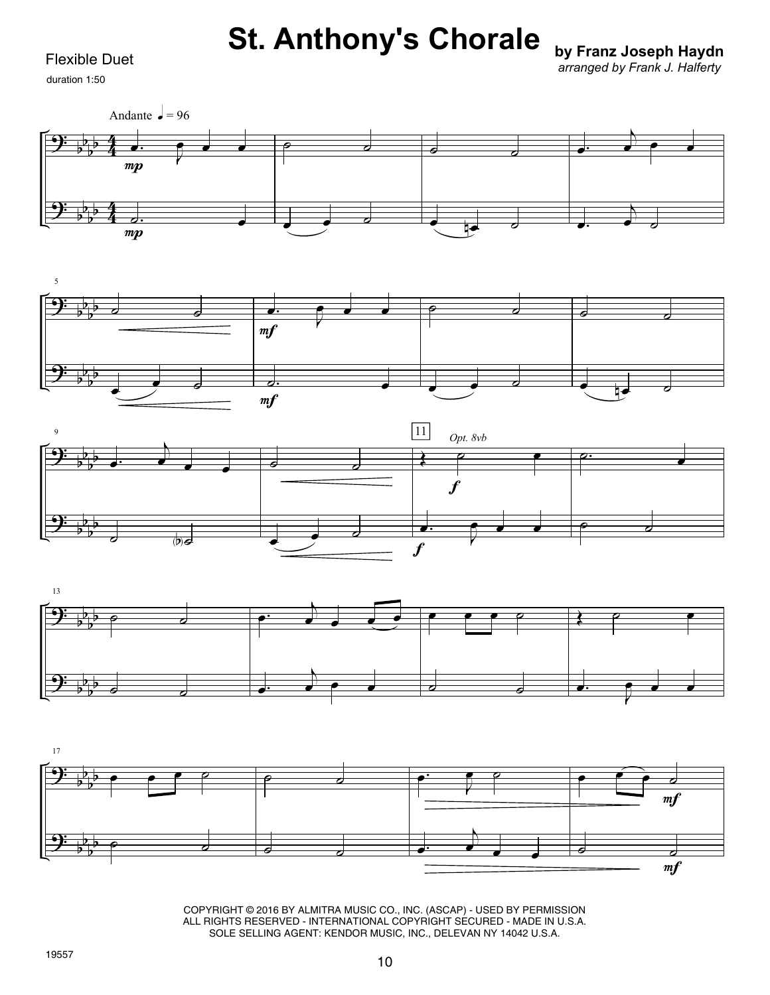### Flexible Duet

duration 1:50

## **St. Anthony's Chorale by Franz Joseph Haydn**

*arranged by Frank J. Halferty*







13



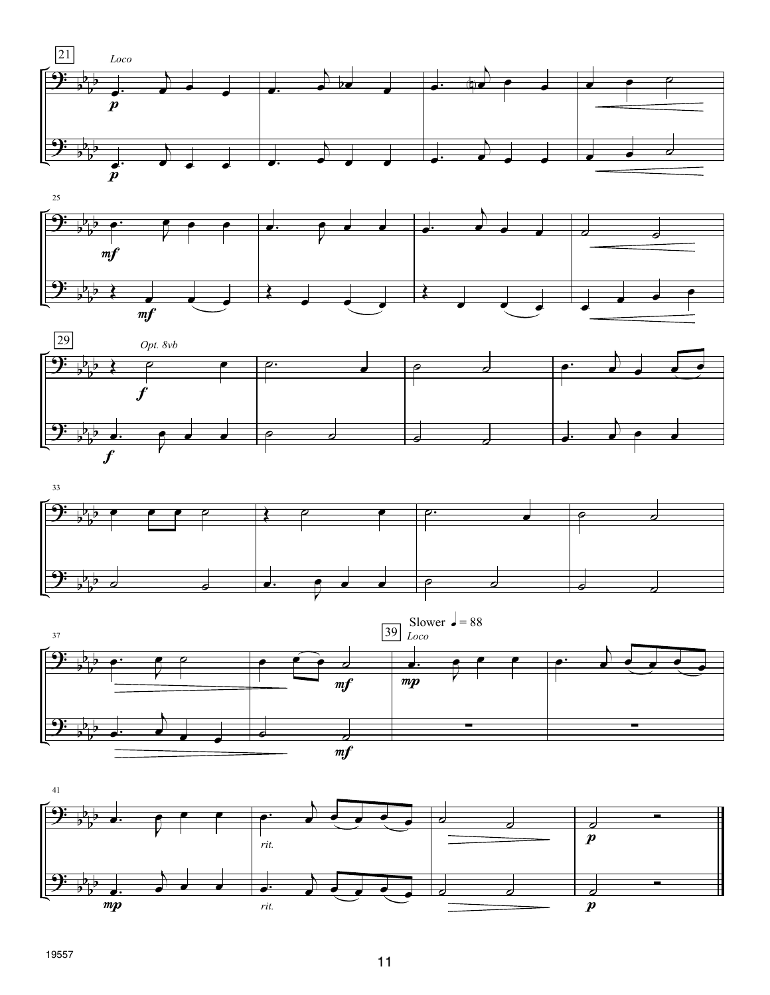









? <u>.</u>  $\frac{1}{2}$  $\frac{1}{2}$ b b b b 41 œ. J œ œ œ œ.  $\overline{A}$  $\frac{1}{2}$  $\frac{1}{mp}$ œ.  $\mathcal{F}$  $\frac{1}{\sqrt{2}}$ œ œ. **H**  $\frac{1}{\sqrt{2}}$ œ *rit. rit.*  $\overline{\phantom{a}}$  $\overline{a}$  $\overline{\phantom{a}}$  $\overline{\phantom{a}}$ Ó  $\overline{\phantom{a}}$ Ó  $\vec{p}$  $\frac{1}{p}$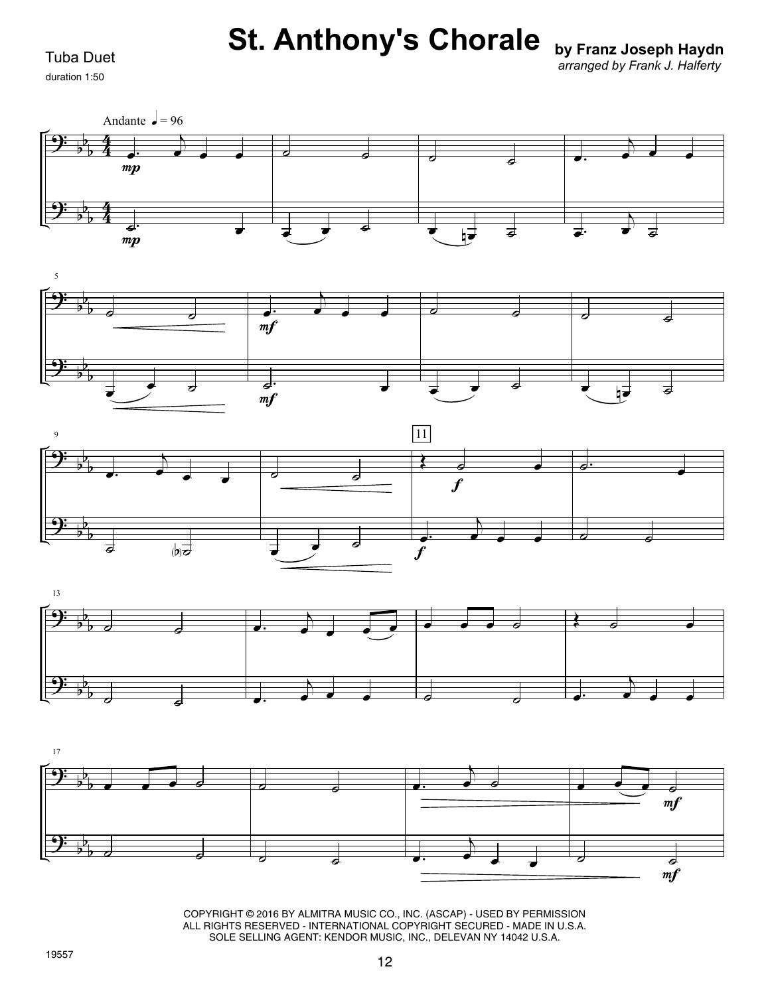duration 1:50







13



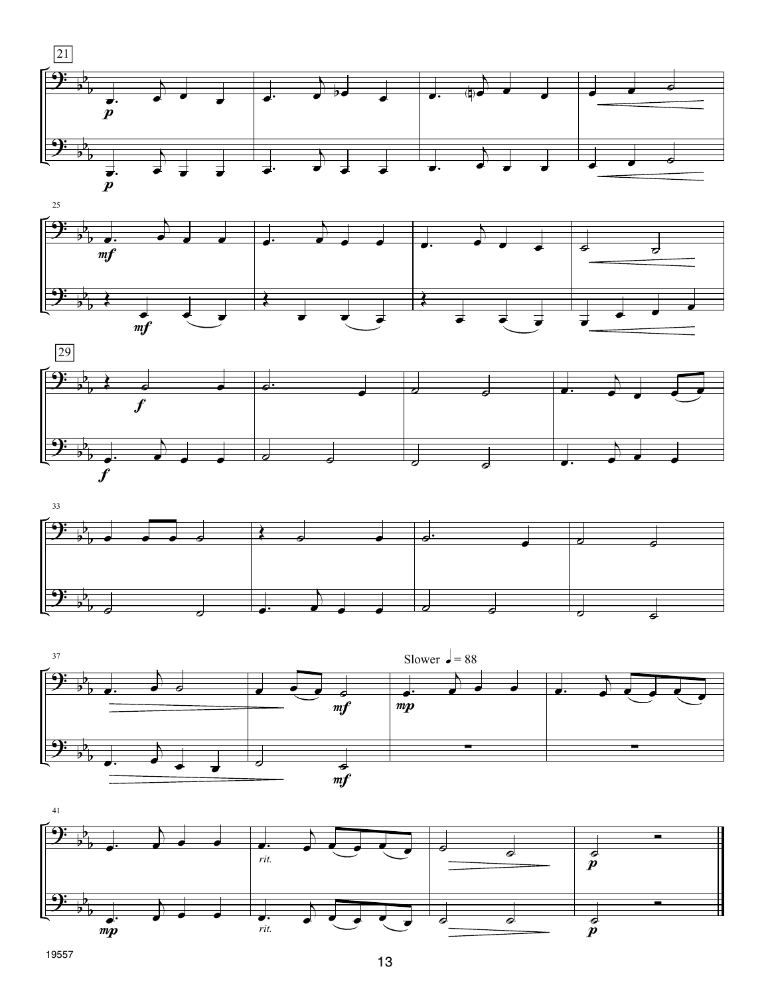









? <u>. </u>  $\frac{1}{2}$ b b b b 41 œ. **H**  $\overrightarrow{\cdot}$ œ.  $\overline{A}$  $\overrightarrow{r}$  $\bar{p}$  $\overline{\phantom{a}}$  $\overline{h}$  $\frac{1}{\sqrt{2}}$ œ œ. *rit.*  $\overline{h}$  $\frac{1}{e}$   $\frac{1}{e}$   $\frac{1}{e}$   $\frac{1}{e}$ œ *rit.*  $\exists$ す **<u></u>** ˙ Ó  $\exists$ Ó  $\bar{p}$  $\vec{p}$ 

 $19557$  19557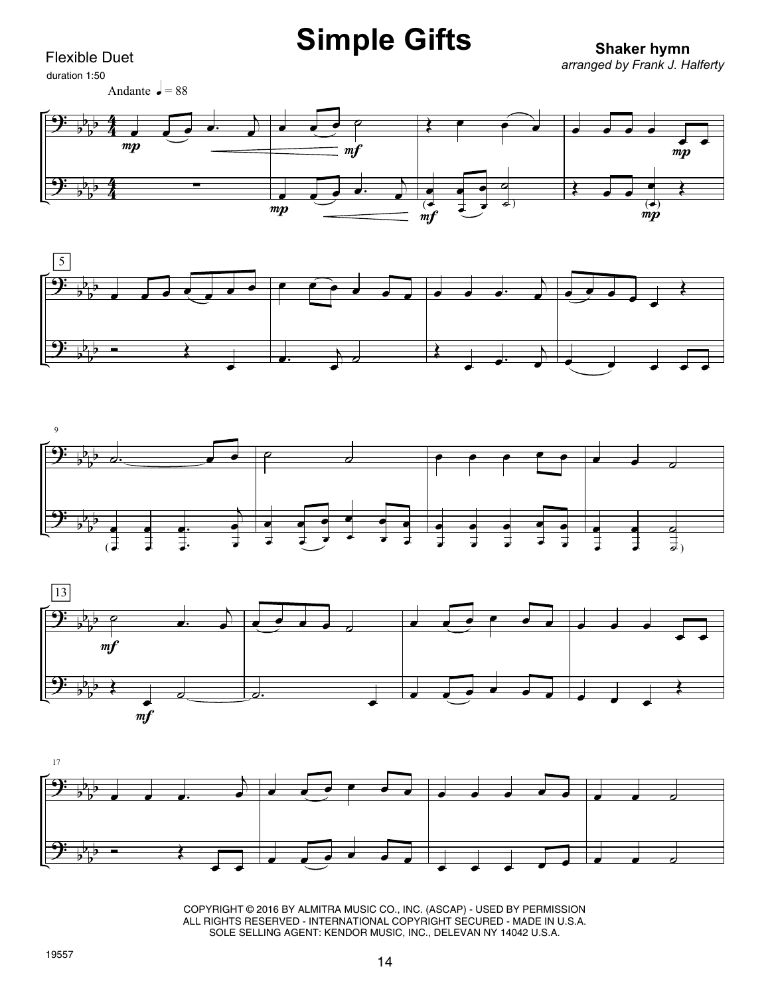## **Simple Gifts** Shaker hymn

*arranged by Frank J. Halferty*

### Flexible Duet

duration 1:50

Andante  $\epsilon = 88$ 











COPYRIGHT © 2016 BY ALMITRA MUSIC CO., INC. (ASCAP) - USED BY PERMISSION ALL RIGHTS RESERVED - INTERNATIONAL COPYRIGHT SECURED - MADE IN U.S.A. SOLE SELLING AGENT: KENDOR MUSIC, INC., DELEVAN NY 14042 U.S.A.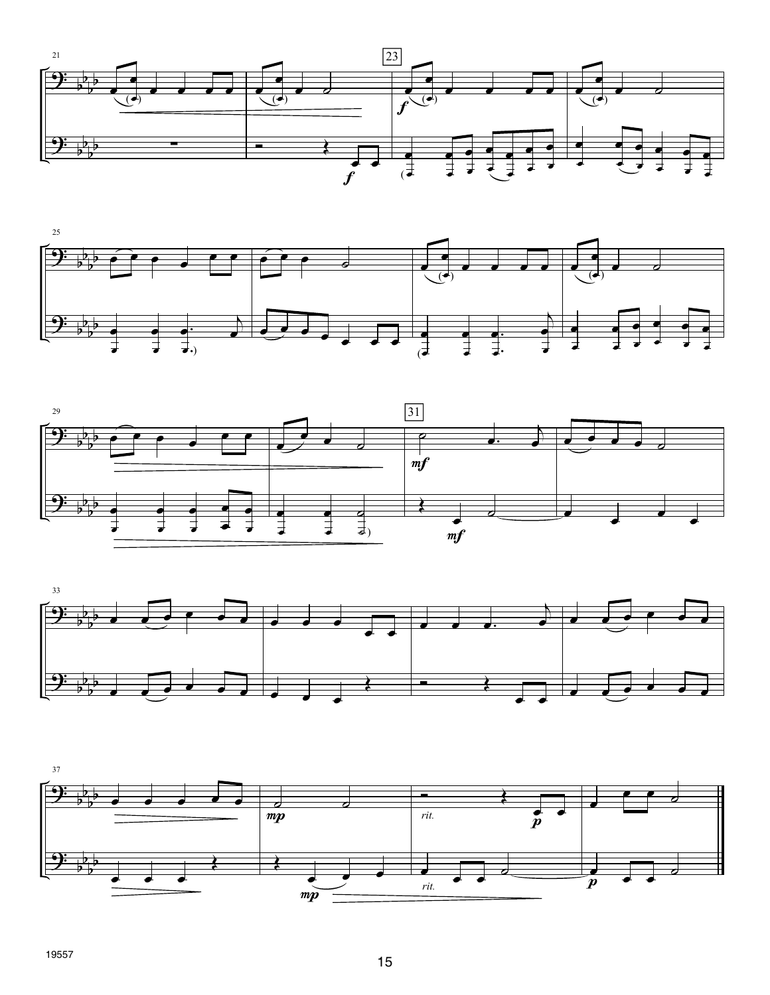







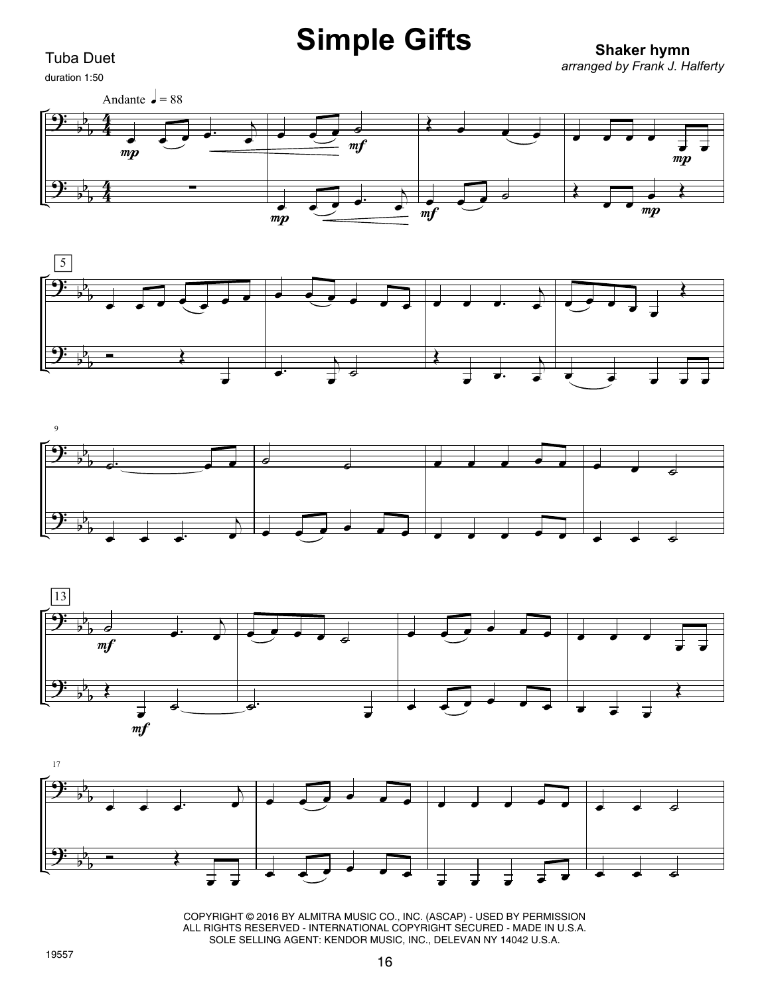## **Simple Gifts Shaker hymn**

*arranged by Frank J. Halferty*

### Tuba Duet

duration 1:50









<u>. </u> <u>. </u> b b b  $\overline{\mathbf{p}}$ b b 17  $\overrightarrow{e}$  $\overline{A}$ œ  $\overline{\mathcal{L}}$ ਵ⊟<br>ਵ⊥  $\overline{e}$   $\overline{e}$   $\overline{e}$   $\overline{e}$   $\overline{e}$   $\overline{e}$   $\overline{e}$  $\overline{e}$   $\overline{e}$   $\overline{e}$   $\overline{e}$   $\overline{e}$   $\overline{e}$   $\overline{e}$ œ œ œ œ œ  $\frac{1}{e}$   $\frac{1}{e}$   $\frac{1}{e}$   $\frac{1}{e}$   $\frac{1}{e}$   $\frac{1}{e}$  $\bullet$   $\bullet$   $\bullet$  $\bullet$   $\bullet$   $\bullet$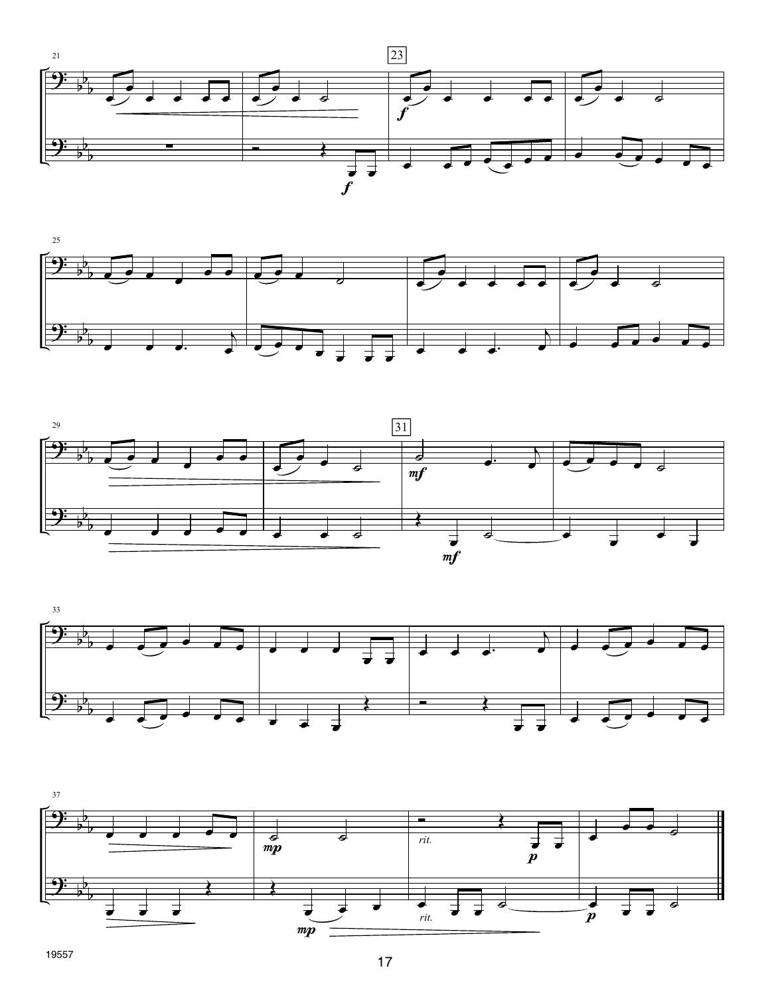







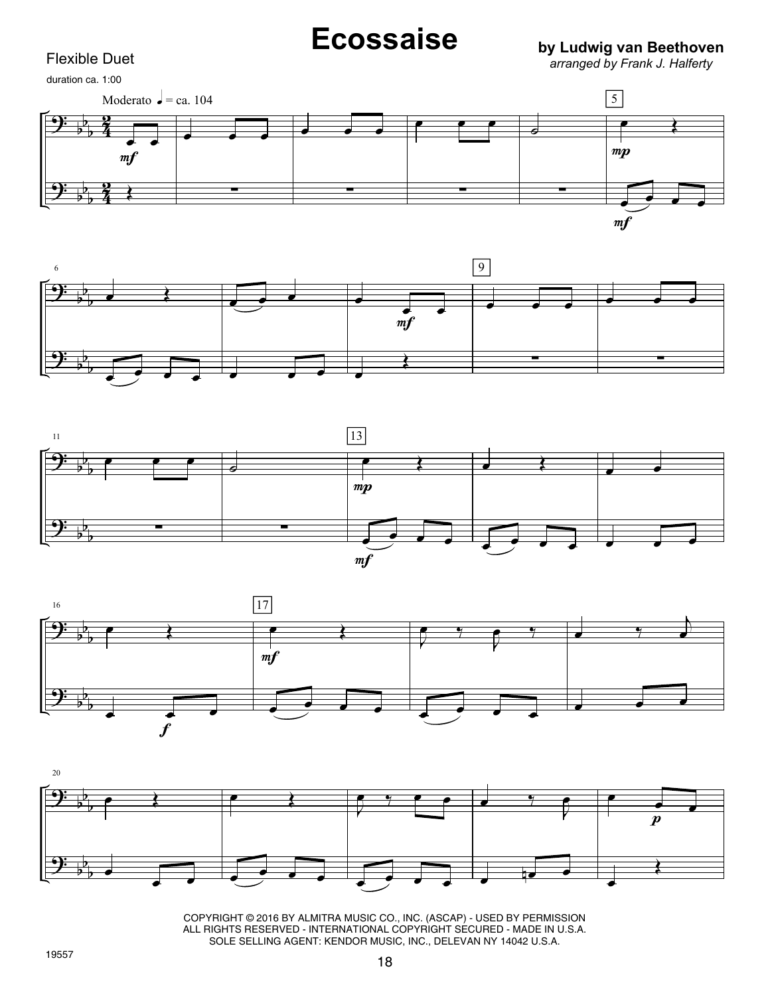## **Ecossaise by Ludwig van Beethoven**

*arranged by Frank J. Halferty*











COPYRIGHT © 2016 BY ALMITRA MUSIC CO., INC. (ASCAP) - USED BY PERMISSION ALL RIGHTS RESERVED - INTERNATIONAL COPYRIGHT SECURED - MADE IN U.S.A. SOLE SELLING AGENT: KENDOR MUSIC, INC., DELEVAN NY 14042 U.S.A.

Flexible Duet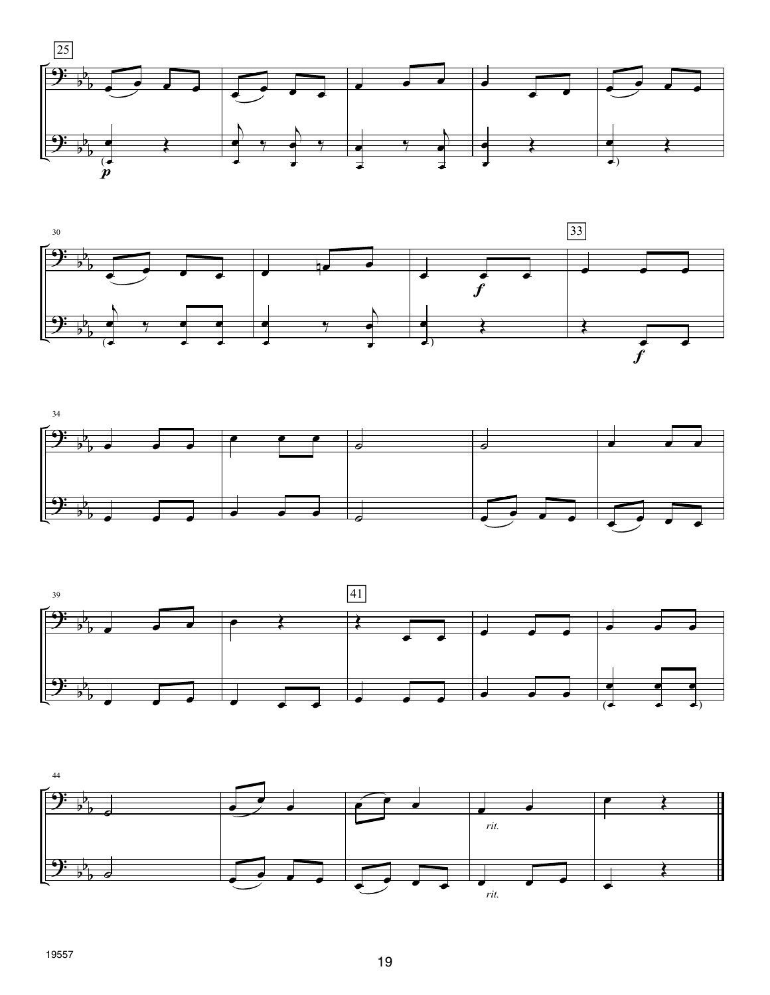







<u>. </u> <u>. </u> b b b b b b 44  $\exists$  $\overline{\bullet}$ œ œ œ œ  $\frac{1}{2}$ œ œ œ  $\bigcirc$  $\overline{\phantom{a}}$  $\frac{1}{\sqrt{2}}$ *rit. rit.*  $\overrightarrow{e}$ œ Œ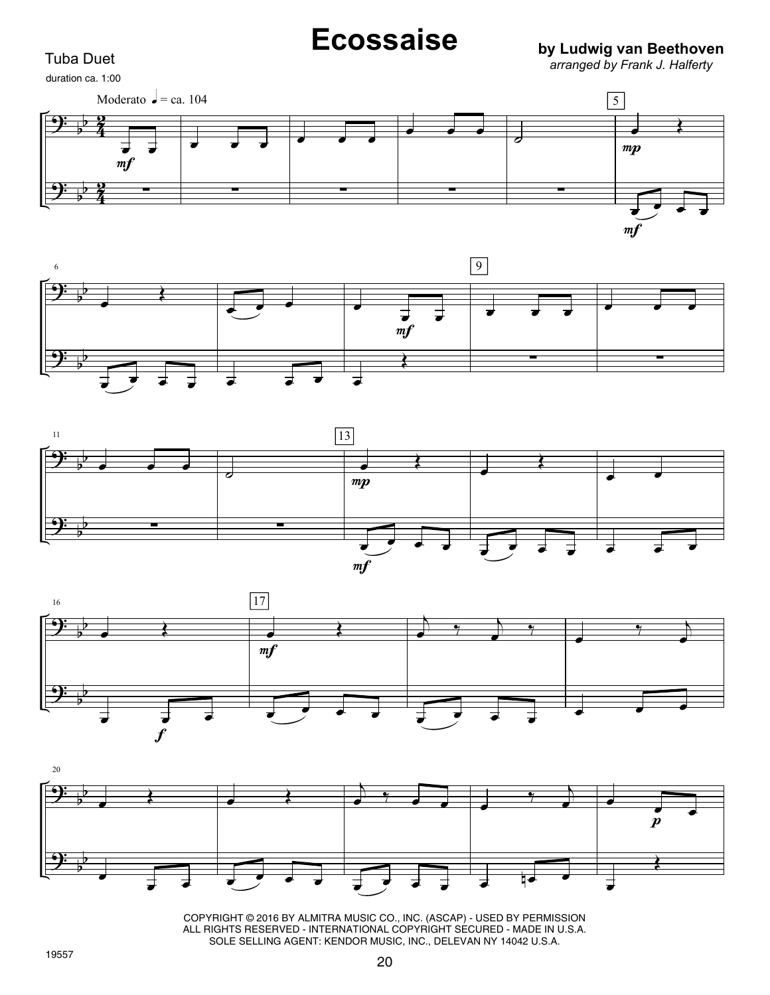## **Ecossaise by Ludwig van Beethoven**

*arranged by Frank J. Halferty*









<u>.</u> <u>.</u> b b b b 20 œ Œ œ  $\overrightarrow{•}$ œ Œ ∕ Q⊥l  $\overrightarrow{e}$  $\overline{A}$ œ  $\frac{1}{\sqrt{2}}$  $\overline{\cdot}$ œ  $\begin{array}{c|c|c|c} \hline \textbf{1} & \textbf{1} & \textbf{1} & \textbf{1} \\ \hline \textbf{2} & \textbf{3} & \textbf{1} & \textbf{1} & \textbf{1} \\ \hline \textbf{3} & \textbf{1} & \textbf{1} & \textbf{1} & \textbf{1} \\ \hline \end{array}$ œ  $\frac{1}{\sqrt{2}}$  $\overline{A}$ œ œ  $\frac{1}{\sqrt{2}}$ œ  $\frac{1}{\bullet}$ œ  $\overline{\blacklozenge}$  $\boldsymbol{p}$ 

> COPYRIGHT © 2016 BY ALMITRA MUSIC CO., INC. (ASCAP) - USED BY PERMISSION ALL RIGHTS RESERVED - INTERNATIONAL COPYRIGHT SECURED - MADE IN U.S.A. SOLE SELLING AGENT: KENDOR MUSIC, INC., DELEVAN NY 14042 U.S.A.

Tuba Duet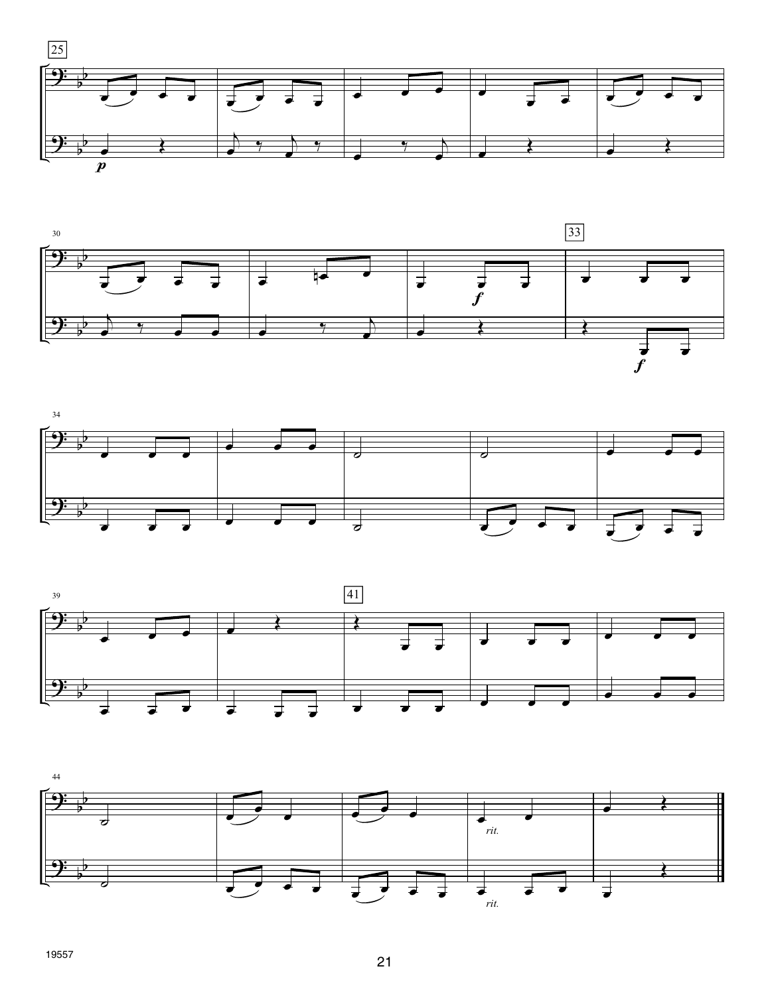







<u>.</u> <u>. </u> b b b b 44  $\overline{\phantom{a}}$  $\mathbf{d}$  .  $\bigoplus$ œ  $\frac{1}{\sqrt{1-\frac{1}{\sqrt{1-\frac{1}{\sqrt{1-\frac{1}{\sqrt{1-\frac{1}{\sqrt{1-\frac{1}{\sqrt{1-\frac{1}{\sqrt{1-\frac{1}{\sqrt{1-\frac{1}{\sqrt{1-\frac{1}{\sqrt{1-\frac{1}{\sqrt{1-\frac{1}{\sqrt{1-\frac{1}{\sqrt{1-\frac{1}{\sqrt{1-\frac{1}{\sqrt{1-\frac{1}{\sqrt{1-\frac{1}{\sqrt{1-\frac{1}{\sqrt{1-\frac{1}{\sqrt{1-\frac{1}{\sqrt{1-\frac{1}{\sqrt{1-\frac{1}{\sqrt{1-\frac{1}{\sqrt{1-\frac{1}{\sqrt{1-\frac{1$ œ œ œ  $\begin{array}{c} \bullet \rightarrow \\ \bullet \rightarrow \\ \bullet \end{array}$ œ œ *rit.*  $\frac{1}{\sqrt{2}}$ *rit.*  $\overrightarrow{a}$ œ Œ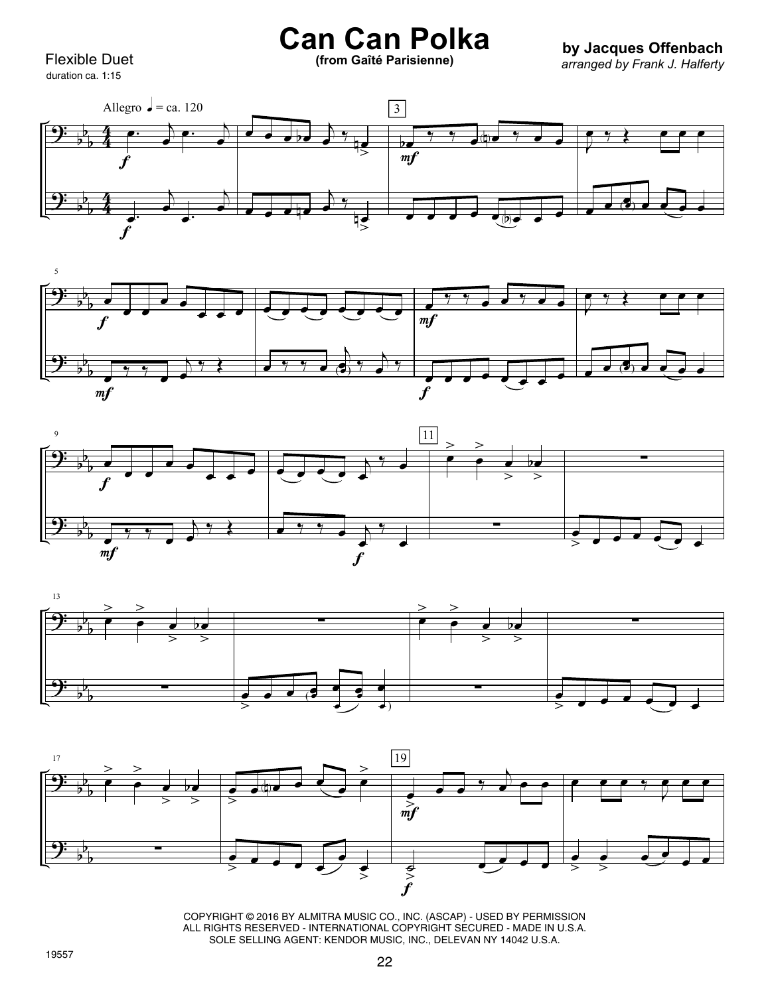Flexible Duet

duration ca. 1:15

**Can Can Polka (from Gaîté Parisienne)**

**by Jacques Offenbach** *arranged by Frank J. Halferty*









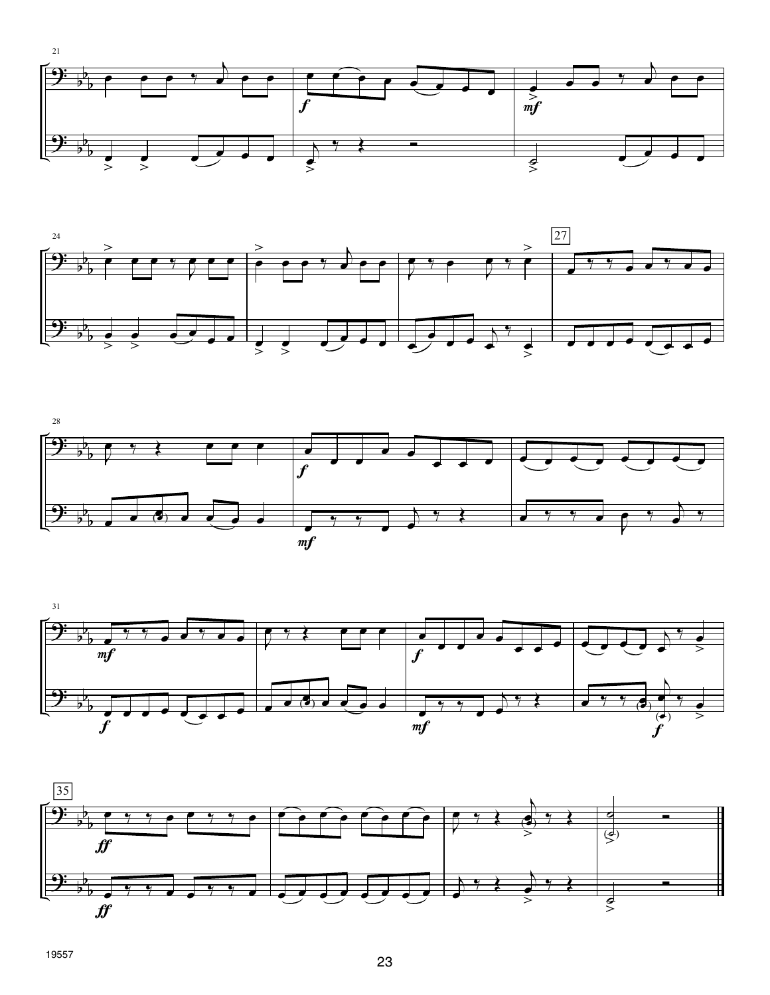







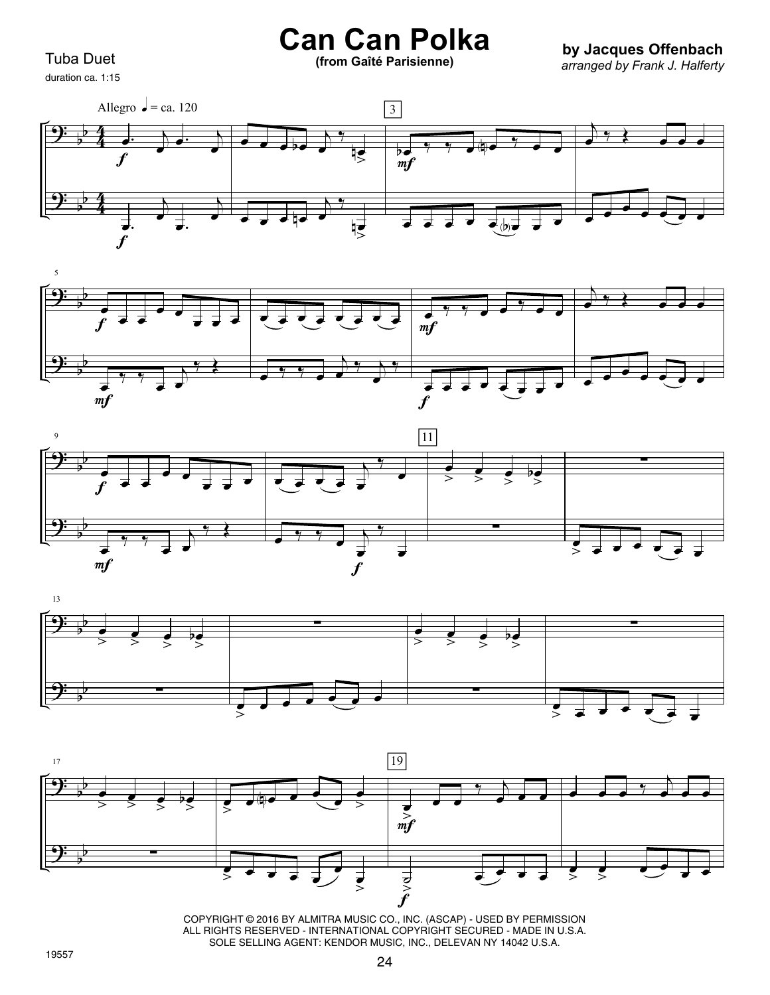## **Can Can Polka**

**by Jacques Offenbach** *arranged by Frank J. Halferty*

duration ca. 1:15 Tuba Duet

**(from Gaîté Parisienne)**









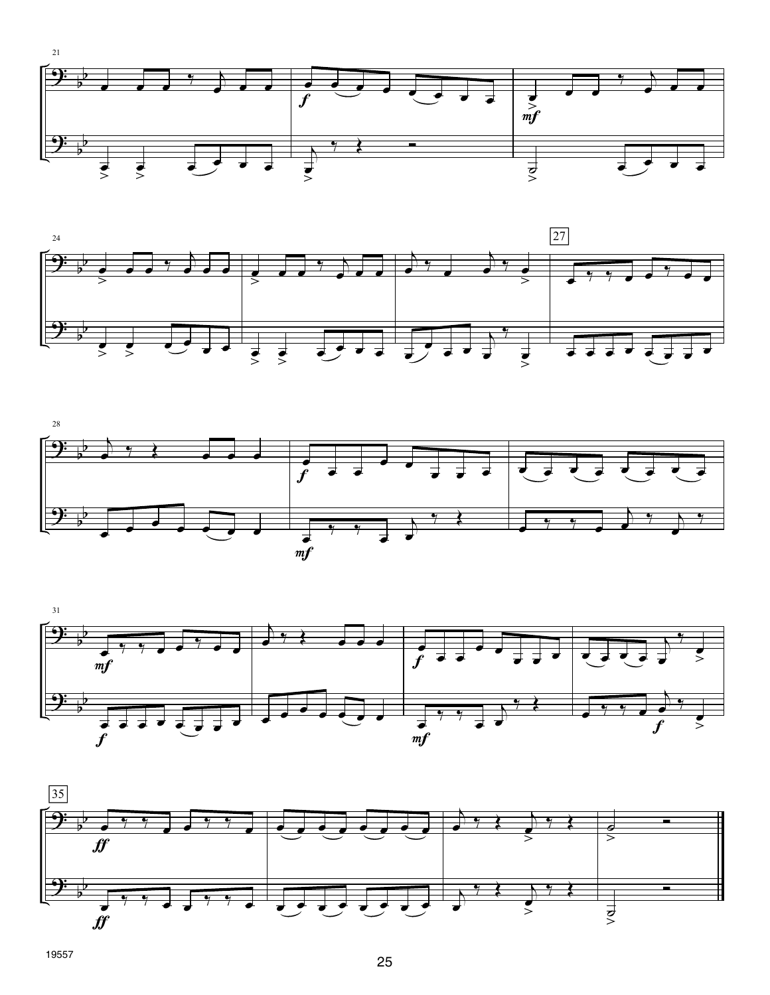









<sup>19557</sup> <sup>25</sup>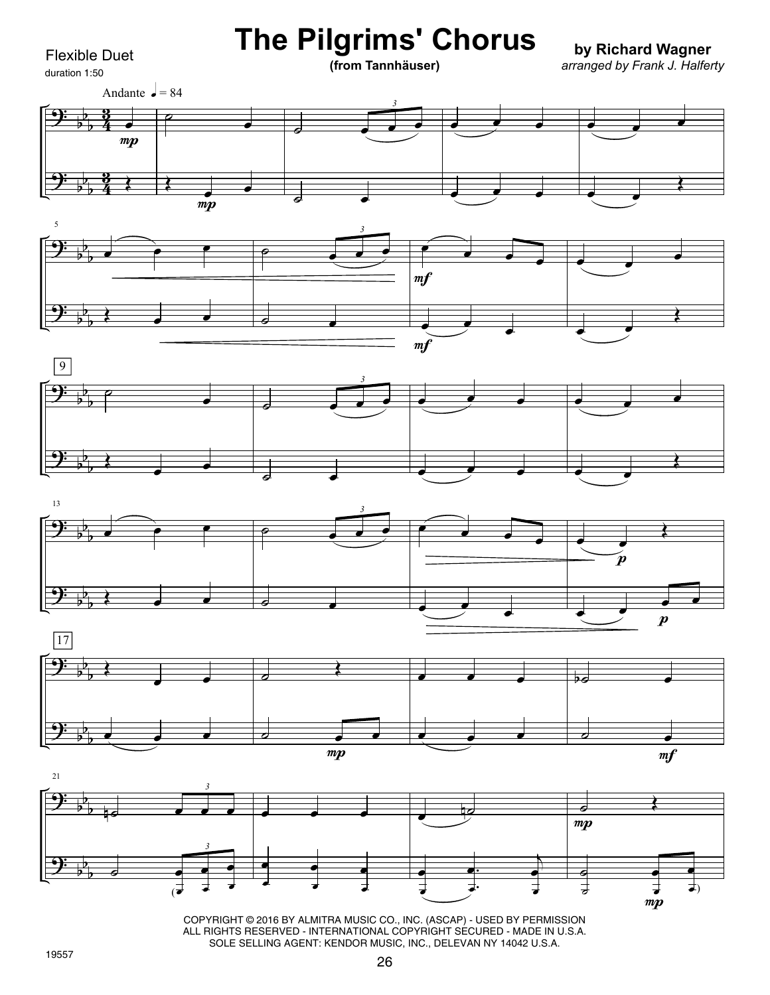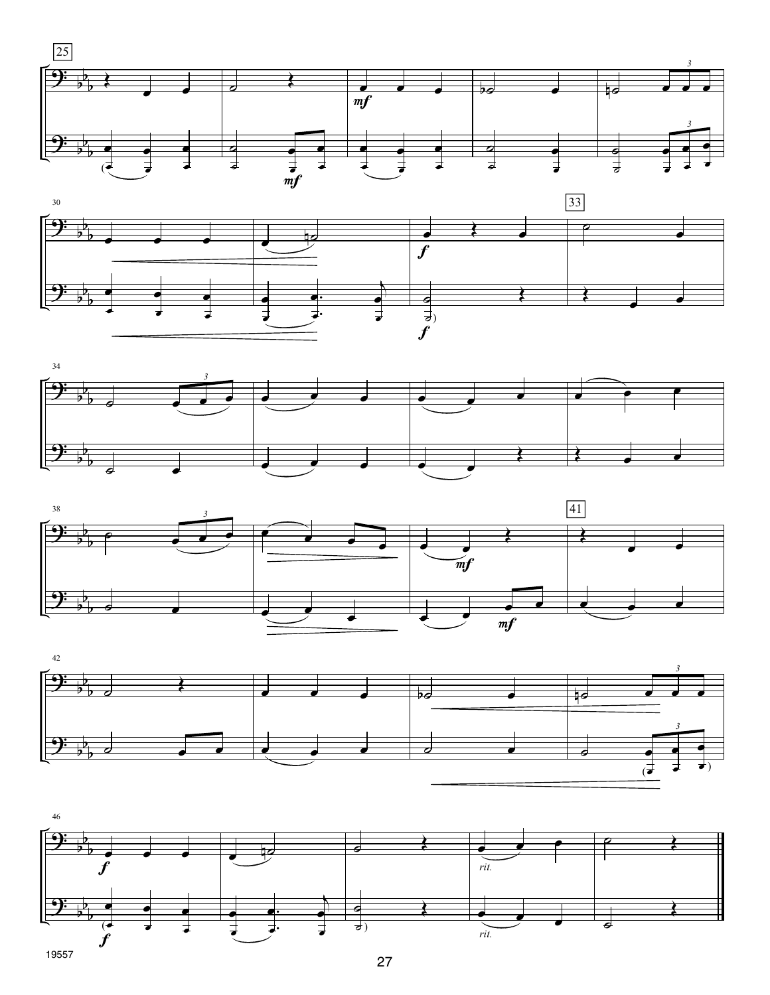









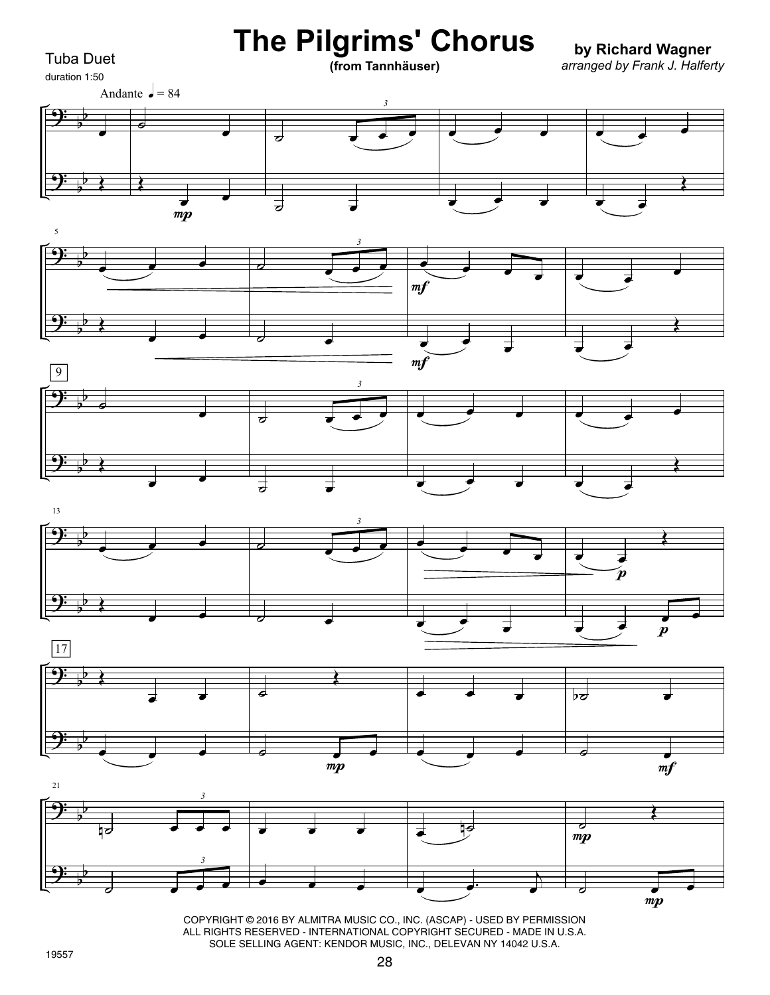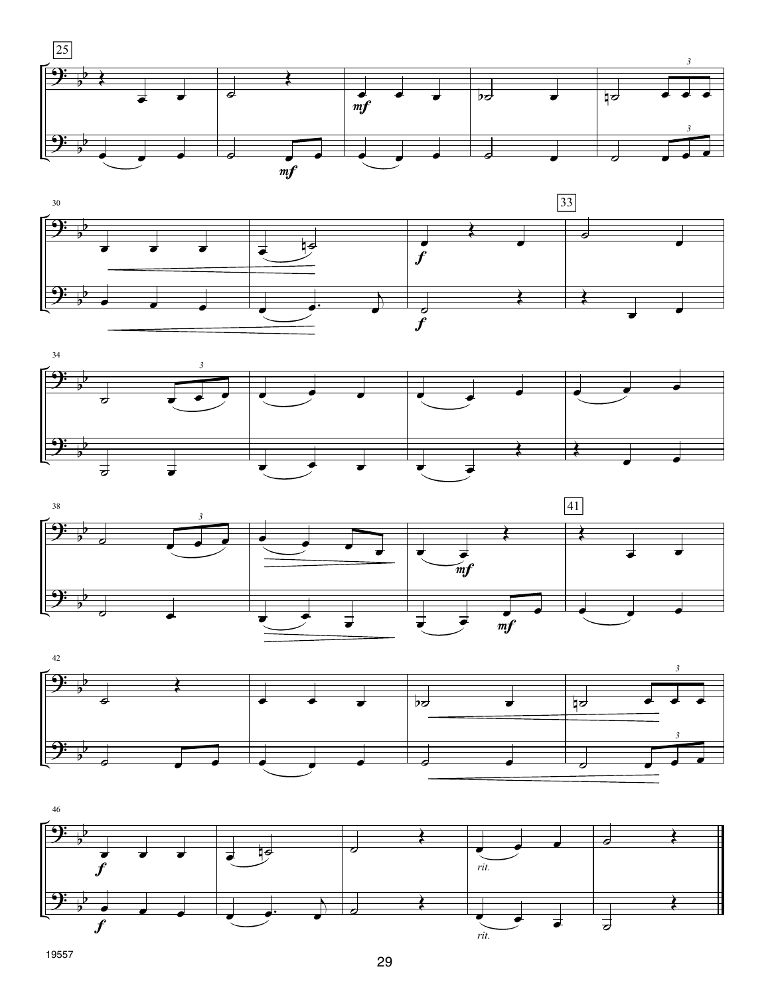









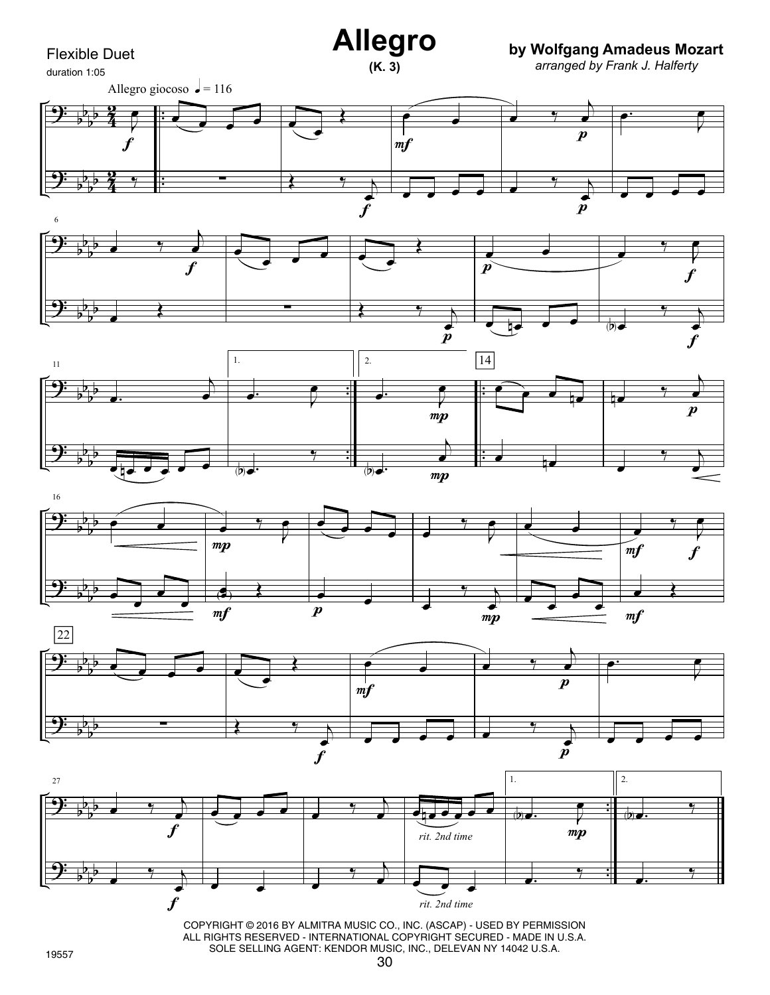Flexible Duet

**by Wolfgang Amadeus Mozart**